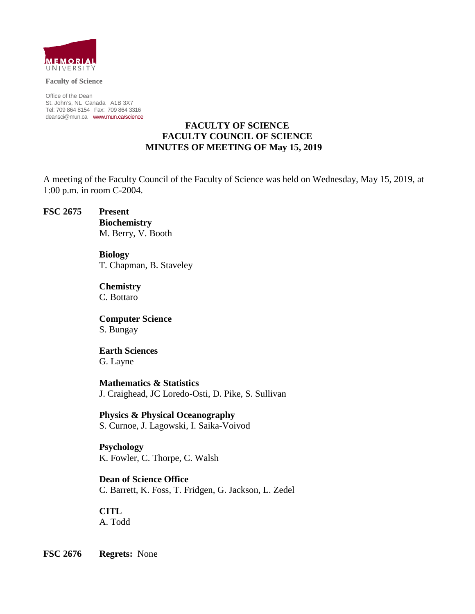

**Faculty of Science**

Office of the Dean St. John's, NL Canada A1B 3X7 Tel: 709 864 8154 Fax: 709 864 3316 [deansci@mun.ca](mailto:deansci@mun.ca) [www.mun.ca/science](http://www.mun.ca/science)

## **FACULTY OF SCIENCE FACULTY COUNCIL OF SCIENCE MINUTES OF MEETING OF May 15, 2019**

A meeting of the Faculty Council of the Faculty of Science was held on Wednesday, May 15, 2019, at 1:00 p.m. in room C-2004.

**FSC 2675 Present** 

**Biochemistry** M. Berry, V. Booth

**Biology** T. Chapman, B. Staveley

**Chemistry** C. Bottaro

**Computer Science** S. Bungay

**Earth Sciences** G. Layne

**Mathematics & Statistics** J. Craighead, JC Loredo-Osti, D. Pike, S. Sullivan

**Physics & Physical Oceanography**

S. Curnoe, J. Lagowski, I. Saika-Voivod

**Psychology** K. Fowler, C. Thorpe, C. Walsh

**Dean of Science Office** C. Barrett, K. Foss, T. Fridgen, G. Jackson, L. Zedel

**CITL** A. Todd

**FSC 2676 Regrets:** None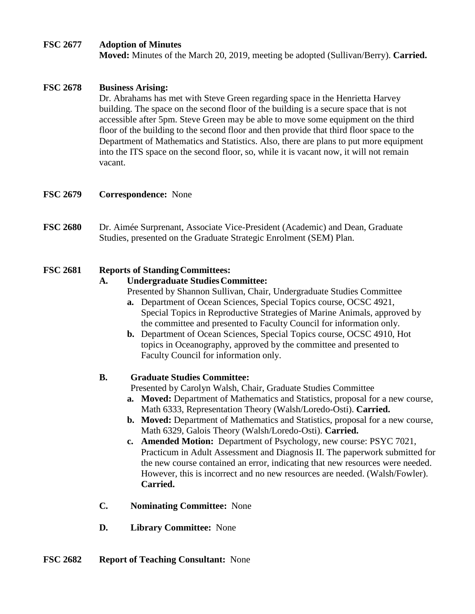#### **FSC 2677 Adoption of Minutes**

**Moved:** Minutes of the March 20, 2019, meeting be adopted (Sullivan/Berry). **Carried.**

## **FSC 2678 Business Arising:**

Dr. Abrahams has met with Steve Green regarding space in the Henrietta Harvey building. The space on the second floor of the building is a secure space that is not accessible after 5pm. Steve Green may be able to move some equipment on the third floor of the building to the second floor and then provide that third floor space to the Department of Mathematics and Statistics. Also, there are plans to put more equipment into the ITS space on the second floor, so, while it is vacant now, it will not remain vacant.

#### **FSC 2679 Correspondence:** None

**FSC 2680** Dr. Aimée Surprenant, Associate Vice-President (Academic) and Dean, Graduate Studies, presented on the Graduate Strategic Enrolment (SEM) Plan.

#### **FSC 2681 Reports of StandingCommittees:**

## **A. Undergraduate StudiesCommittee:**

- Presented by Shannon Sullivan, Chair, Undergraduate Studies Committee
- **a.** Department of Ocean Sciences, Special Topics course, OCSC 4921, Special Topics in Reproductive Strategies of Marine Animals, approved by the committee and presented to Faculty Council for information only.
- **b.** Department of Ocean Sciences, Special Topics course, OCSC 4910, Hot topics in Oceanography, approved by the committee and presented to Faculty Council for information only.

#### **B. Graduate Studies Committee:**

Presented by Carolyn Walsh, Chair, Graduate Studies Committee

- **a. Moved:** Department of Mathematics and Statistics, proposal for a new course, Math 6333, Representation Theory (Walsh/Loredo-Osti). **Carried.**
- **b. Moved:** Department of Mathematics and Statistics, proposal for a new course, Math 6329, Galois Theory (Walsh/Loredo-Osti). **Carried.**
- **c. Amended Motion:** Department of Psychology, new course: PSYC 7021, Practicum in Adult Assessment and Diagnosis II. The paperwork submitted for the new course contained an error, indicating that new resources were needed. However, this is incorrect and no new resources are needed. (Walsh/Fowler). **Carried.**
- **C. Nominating Committee:** None
- **D. Library Committee:** None

## **FSC 2682 Report of Teaching Consultant:** None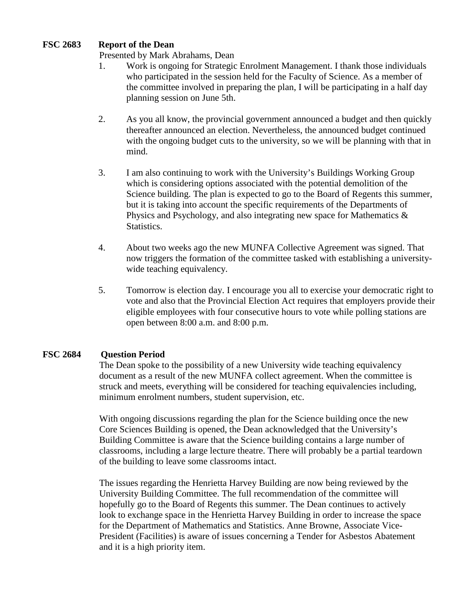## **FSC 2683 Report of the Dean**

Presented by Mark Abrahams, Dean

- 1. Work is ongoing for Strategic Enrolment Management. I thank those individuals who participated in the session held for the Faculty of Science. As a member of the committee involved in preparing the plan, I will be participating in a half day planning session on June 5th.
- 2. As you all know, the provincial government announced a budget and then quickly thereafter announced an election. Nevertheless, the announced budget continued with the ongoing budget cuts to the university, so we will be planning with that in mind.
- 3. I am also continuing to work with the University's Buildings Working Group which is considering options associated with the potential demolition of the Science building. The plan is expected to go to the Board of Regents this summer, but it is taking into account the specific requirements of the Departments of Physics and Psychology, and also integrating new space for Mathematics & Statistics.
- 4. About two weeks ago the new MUNFA Collective Agreement was signed. That now triggers the formation of the committee tasked with establishing a universitywide teaching equivalency.
- 5. Tomorrow is election day. I encourage you all to exercise your democratic right to vote and also that the Provincial Election Act requires that employers provide their eligible employees with four consecutive hours to vote while polling stations are open between 8:00 a.m. and 8:00 p.m.

## **FSC 2684 Question Period**

The Dean spoke to the possibility of a new University wide teaching equivalency document as a result of the new MUNFA collect agreement. When the committee is struck and meets, everything will be considered for teaching equivalencies including, minimum enrolment numbers, student supervision, etc.

With ongoing discussions regarding the plan for the Science building once the new Core Sciences Building is opened, the Dean acknowledged that the University's Building Committee is aware that the Science building contains a large number of classrooms, including a large lecture theatre. There will probably be a partial teardown of the building to leave some classrooms intact.

The issues regarding the Henrietta Harvey Building are now being reviewed by the University Building Committee. The full recommendation of the committee will hopefully go to the Board of Regents this summer. The Dean continues to actively look to exchange space in the Henrietta Harvey Building in order to increase the space for the Department of Mathematics and Statistics. Anne Browne, Associate Vice-President (Facilities) is aware of issues concerning a Tender for Asbestos Abatement and it is a high priority item.